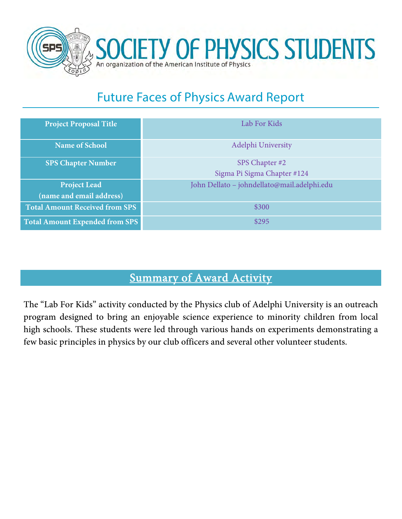

# Future Faces of Physics Award Report

| <b>Project Proposal Title</b>         | Lab For Kids                                  |  |
|---------------------------------------|-----------------------------------------------|--|
| <b>Name of School</b>                 | Adelphi University                            |  |
| <b>SPS Chapter Number</b>             | SPS Chapter #2<br>Sigma Pi Sigma Chapter #124 |  |
| <b>Project Lead</b>                   | John Dellato - johndellato@mail.adelphi.edu   |  |
| (name and email address)              |                                               |  |
| <b>Total Amount Received from SPS</b> | \$300                                         |  |
| <b>Total Amount Expended from SPS</b> | \$295                                         |  |

### Summary of Award Activity

The "Lab For Kids" activity conducted by the Physics club of Adelphi University is an outreach program designed to bring an enjoyable science experience to minority children from local high schools. These students were led through various hands on experiments demonstrating a few basic principles in physics by our club officers and several other volunteer students.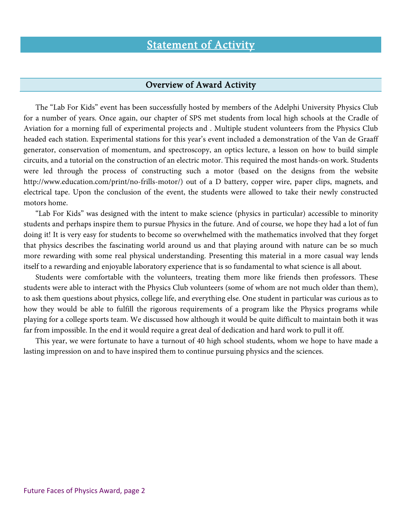### Statement of Activity

#### Overview of Award Activity

The "Lab For Kids" event has been successfully hosted by members of the Adelphi University Physics Club for a number of years. Once again, our chapter of SPS met students from local high schools at the Cradle of Aviation for a morning full of experimental projects and . Multiple student volunteers from the Physics Club headed each station. Experimental stations for this year's event included a demonstration of the Van de Graaff generator, conservation of momentum, and spectroscopy, an optics lecture, a lesson on how to build simple circuits, and a tutorial on the construction of an electric motor. This required the most hands-on work. Students were led through the process of constructing such a motor (based on the designs from the website http://www.education.com/print/no-frills-motor/) out of a D battery, copper wire, paper clips, magnets, and electrical tape. Upon the conclusion of the event, the students were allowed to take their newly constructed motors home.

"Lab For Kids" was designed with the intent to make science (physics in particular) accessible to minority students and perhaps inspire them to pursue Physics in the future. And of course, we hope they had a lot of fun doing it! It is very easy for students to become so overwhelmed with the mathematics involved that they forget that physics describes the fascinating world around us and that playing around with nature can be so much more rewarding with some real physical understanding. Presenting this material in a more casual way lends itself to a rewarding and enjoyable laboratory experience that is so fundamental to what science is all about.

Students were comfortable with the volunteers, treating them more like friends then professors. These students were able to interact with the Physics Club volunteers (some of whom are not much older than them), to ask them questions about physics, college life, and everything else. One student in particular was curious as to how they would be able to fulfill the rigorous requirements of a program like the Physics programs while playing for a college sports team. We discussed how although it would be quite difficult to maintain both it was far from impossible. In the end it would require a great deal of dedication and hard work to pull it off.

This year, we were fortunate to have a turnout of 40 high school students, whom we hope to have made a lasting impression on and to have inspired them to continue pursuing physics and the sciences.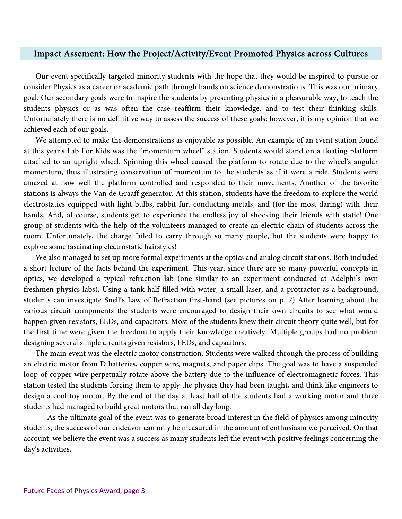#### Impact Assement: How the Project/Activity/Event Promoted Physics across Cultures

Our event specifically targeted minority students with the hope that they would be inspired to pursue or consider Physics as a career or academic path through hands on science demonstrations. This was our primary goal. Our secondary goals were to inspire the students by presenting physics in a pleasurable way, to teach the students physics or as was often the case reaffirm their knowledge, and to test their thinking skills. Unfortunately there is no definitive way to assess the success of these goals; however, it is my opinion that we achieved each of our goals.

We attempted to make the demonstrations as enjoyable as possible. An example of an event station found at this year's Lab For Kids was the "momentum wheel" station. Students would stand on a floating platform attached to an upright wheel. Spinning this wheel caused the platform to rotate due to the wheel's angular momentum, thus illustrating conservation of momentum to the students as if it were a ride. Students were amazed at how well the platform controlled and responded to their movements. Another of the favorite stations is always the Van de Graaff generator. At this station, students have the freedom to explore the world electrostatics equipped with light bulbs, rabbit fur, conducting metals, and (for the most daring) with their hands. And, of course, students get to experience the endless joy of shocking their friends with static! One group of students with the help of the volunteers managed to create an electric chain of students across the room. Unfortunately, the charge failed to carry through so many people, but the students were happy to explore some fascinating electrostatic hairstyles!

We also managed to set up more formal experiments at the optics and analog circuit stations. Both included a short lecture of the facts behind the experiment. This year, since there are so many powerful concepts in optics, we developed a typical refraction lab (one similar to an experiment conducted at Adelphi's own freshmen physics labs). Using a tank half-filled with water, a small laser, and a protractor as a background, students can investigate Snell's Law of Refraction first-hand (see pictures on p. 7) After learning about the various circuit components the students were encouraged to design their own circuits to see what would happen given resistors, LEDs, and capacitors. Most of the students knew their circuit theory quite well, but for the first time were given the freedom to apply their knowledge creatively. Multiple groups had no problem designing several simple circuits given resistors, LEDs, and capacitors.

The main event was the electric motor construction. Students were walked through the process of building an electric motor from D batteries, copper wire, magnets, and paper clips. The goal was to have a suspended loop of copper wire perpetually rotate above the battery due to the influence of electromagnetic forces. This station tested the students forcing them to apply the physics they had been taught, and think like engineers to design a cool toy motor. By the end of the day at least half of the students had a working motor and three students had managed to build great motors that ran all day long.

 As the ultimate goal of the event was to generate broad interest in the field of physics among minority students, the success of our endeavor can only be measured in the amount of enthusiasm we perceived. On that account, we believe the event was a success as many students left the event with positive feelings concerning the day's activities.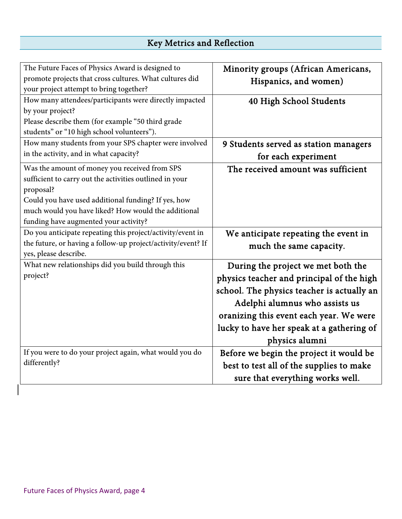### Key Metrics and Reflection

| The Future Faces of Physics Award is designed to             | Minority groups (African Americans,        |  |
|--------------------------------------------------------------|--------------------------------------------|--|
| promote projects that cross cultures. What cultures did      | Hispanics, and women)                      |  |
| your project attempt to bring together?                      |                                            |  |
| How many attendees/participants were directly impacted       | 40 High School Students                    |  |
| by your project?                                             |                                            |  |
| Please describe them (for example "50 third grade            |                                            |  |
| students" or "10 high school volunteers").                   |                                            |  |
| How many students from your SPS chapter were involved        | 9 Students served as station managers      |  |
| in the activity, and in what capacity?                       | for each experiment                        |  |
| Was the amount of money you received from SPS                | The received amount was sufficient         |  |
| sufficient to carry out the activities outlined in your      |                                            |  |
| proposal?                                                    |                                            |  |
| Could you have used additional funding? If yes, how          |                                            |  |
| much would you have liked? How would the additional          |                                            |  |
| funding have augmented your activity?                        |                                            |  |
| Do you anticipate repeating this project/activity/event in   | We anticipate repeating the event in       |  |
| the future, or having a follow-up project/activity/event? If | much the same capacity.                    |  |
| yes, please describe.                                        |                                            |  |
| What new relationships did you build through this            | During the project we met both the         |  |
| project?                                                     | physics teacher and principal of the high  |  |
|                                                              | school. The physics teacher is actually an |  |
|                                                              | Adelphi alumnus who assists us             |  |
|                                                              | oranizing this event each year. We were    |  |
|                                                              | lucky to have her speak at a gathering of  |  |
|                                                              | physics alumni                             |  |
| If you were to do your project again, what would you do      | Before we begin the project it would be    |  |
| differently?                                                 | best to test all of the supplies to make   |  |
|                                                              | sure that everything works well.           |  |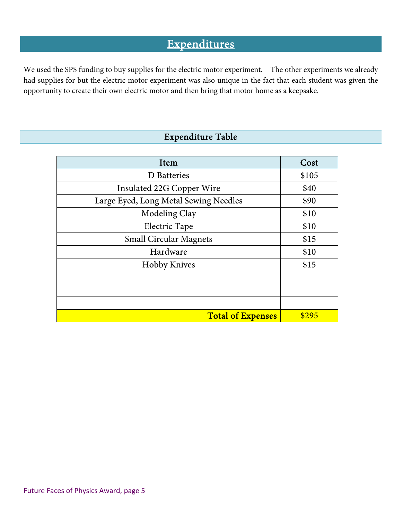### **Expenditures**

We used the SPS funding to buy supplies for the electric motor experiment. The other experiments we already had supplies for but the electric motor experiment was also unique in the fact that each student was given the opportunity to create their own electric motor and then bring that motor home as a keepsake.

#### Expenditure Table

| Item                                  | Cost  |
|---------------------------------------|-------|
| D Batteries                           | \$105 |
| Insulated 22G Copper Wire             | \$40  |
| Large Eyed, Long Metal Sewing Needles | \$90  |
| Modeling Clay                         | \$10  |
| Electric Tape                         | \$10  |
| <b>Small Circular Magnets</b>         | \$15  |
| Hardware                              | \$10  |
| <b>Hobby Knives</b>                   | \$15  |
|                                       |       |
|                                       |       |
|                                       |       |
| <b>Total of Expenses</b>              | \$295 |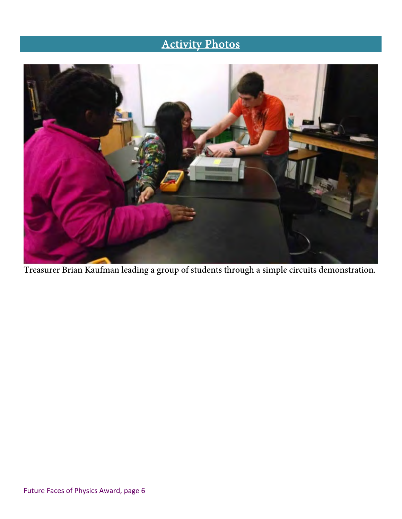## Activity Photos



Treasurer Brian Kaufman leading a group of students through a simple circuits demonstration.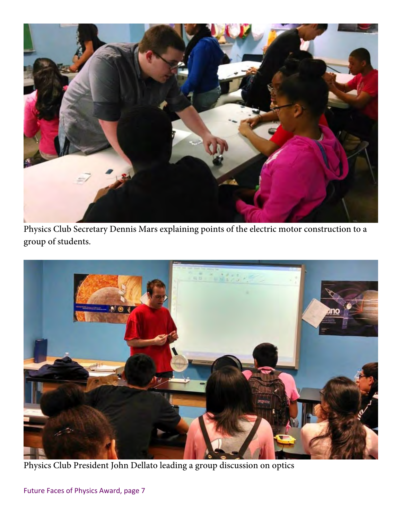

Physics Club Secretary Dennis Mars explaining points of the electric motor construction to a group of students.



Physics Club President John Dellato leading a group discussion on optics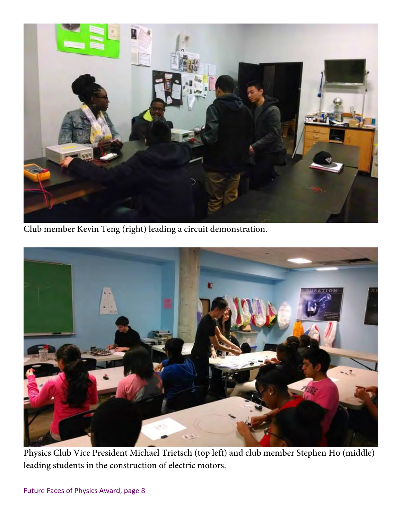

Club member Kevin Teng (right) leading a circuit demonstration.



Physics Club Vice President Michael Trietsch (top left) and club member Stephen Ho (middle) leading students in the construction of electric motors.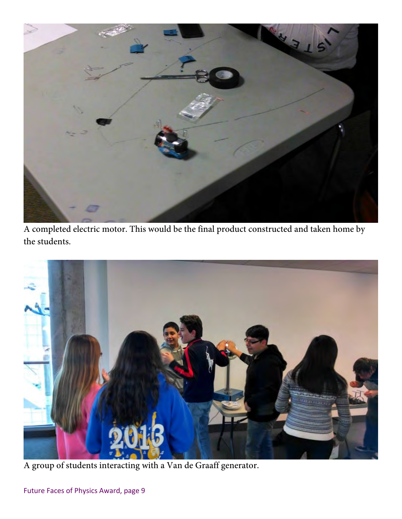

A completed electric motor. This would be the final product constructed and taken home by the students.



A group of students interacting with a Van de Graaff generator.